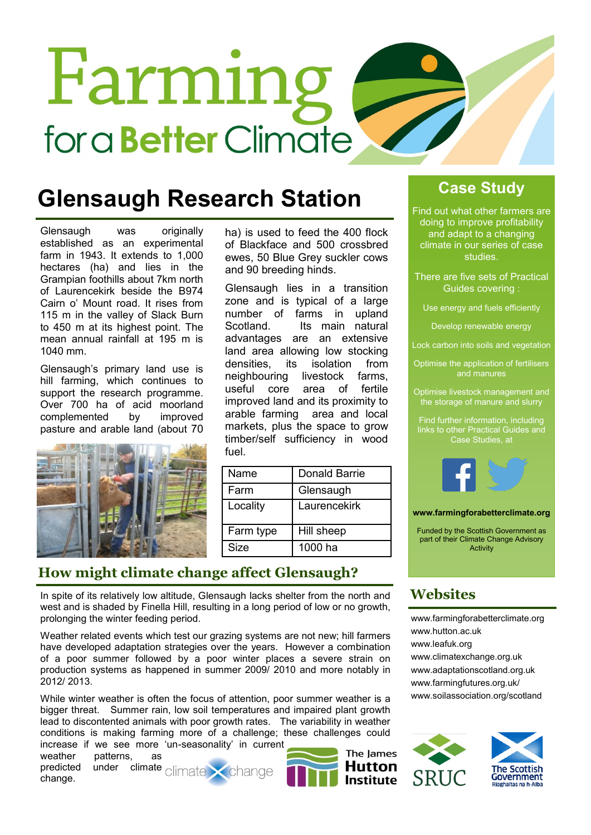# Farming for a **Better** Climate

### **Glensaugh Research Station**

Glensaugh was originally established as an experimental farm in 1943. It extends to 1,000 hectares (ha) and lies in the Grampian foothills about 7km north of Laurencekirk beside the B974 Cairn o' Mount road. It rises from 115 m in the valley of Slack Burn to 450 m at its highest point. The mean annual rainfall at 195 m is 1040 mm.

Glensaugh's primary land use is hill farming, which continues to support the research programme. Over 700 ha of acid moorland complemented by improved pasture and arable land (about 70



ha) is used to feed the 400 flock of Blackface and 500 crossbred ewes, 50 Blue Grey suckler cows and 90 breeding hinds.

Glensaugh lies in a transition zone and is typical of a large number of farms in upland Scotland. Its main natural advantages are an extensive land area allowing low stocking densities, its isolation from neighbouring livestock farms, useful core area of fertile improved land and its proximity to arable farming area and local markets, plus the space to grow timber/self sufficiency in wood fuel.

| Name      | Donald Barrie |
|-----------|---------------|
| Farm      | Glensaugh     |
| Locality  | Laurencekirk  |
| Farm type | Hill sheep    |
| Size      | 1000 ha       |

#### **How might climate change affect Glensaugh?**

In spite of its relatively low altitude, Glensaugh lacks shelter from the north and west and is shaded by Finella Hill, resulting in a long period of low or no growth, prolonging the winter feeding period.

Weather related events which test our grazing systems are not new; hill farmers have developed adaptation strategies over the years. However a combination of a poor summer followed by a poor winter places a severe strain on production systems as happened in summer 2009/ 2010 and more notably in 2012/ 2013.

While winter weather is often the focus of attention, poor summer weather is a bigger threat. Summer rain, low soil temperatures and impaired plant growth lead to discontented animals with poor growth rates. The variability in weather conditions is making farming more of a challenge; these challenges could increase if we see more 'un-seasonality' in current

weather patterns, as predicted under climate change.





**Case Study**

Find out what other farmers are doing to improve profitability and adapt to a changing climate in our series of case studies.

There are five sets of Practical Guides covering :

Use energy and fuels efficiently

Develop renewable energy

Lock carbon into soils and vegetation

Optimise the application of fertilisers and manures

Optimise livestock management and the storage of manure and slurry

Find further information, including Case Studies, at



**www.farmingforabetterclimate.org**

Funded by the Scottish Government as part of their Climate Change Advisory Activity

#### **Websites**

[www.farmingforabetterclimate.org](http://www.farmingforabetterclimate.org) [www.hutton.ac.uk](http://www.hutton.ac.uk/about/facilities/balruddery-farm) [www.leafuk.org](http://www.leafuk.org/leaf/home.eb) [www.climatexchange.org.uk](http://www.climatexchange.org.uk/index.php/cxc-work/cxc-adaptation) [www.adaptationscotland.org.uk](http://www.adaptationscotland.org.uk/1/1/0/Home.aspx) [www.farmingfutures.org.uk/](http://www.farmingfutures.org.uk/) [www.soilassociation.org/scotland](http://www.soilassociation.org/scotland)